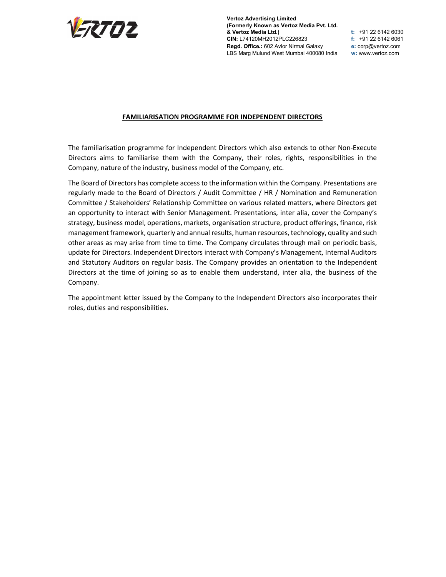

#### FAMILIARISATION PROGRAMME FOR INDEPENDENT DIRECTORS

The familiarisation programme for Independent Directors which also extends to other Non-Execute Directors aims to familiarise them with the Company, their roles, rights, responsibilities in the Company, nature of the industry, business model of the Company, etc.

The Board of Directors has complete access to the information within the Company. Presentations are regularly made to the Board of Directors / Audit Committee / HR / Nomination and Remuneration Committee / Stakeholders' Relationship Committee on various related matters, where Directors get an opportunity to interact with Senior Management. Presentations, inter alia, cover the Company's strategy, business model, operations, markets, organisation structure, product offerings, finance, risk management framework, quarterly and annual results, human resources, technology, quality and such other areas as may arise from time to time. The Company circulates through mail on periodic basis, update for Directors. Independent Directors interact with Company's Management, Internal Auditors and Statutory Auditors on regular basis. The Company provides an orientation to the Independent Directors at the time of joining so as to enable them understand, inter alia, the business of the Company.

The appointment letter issued by the Company to the Independent Directors also incorporates their roles, duties and responsibilities.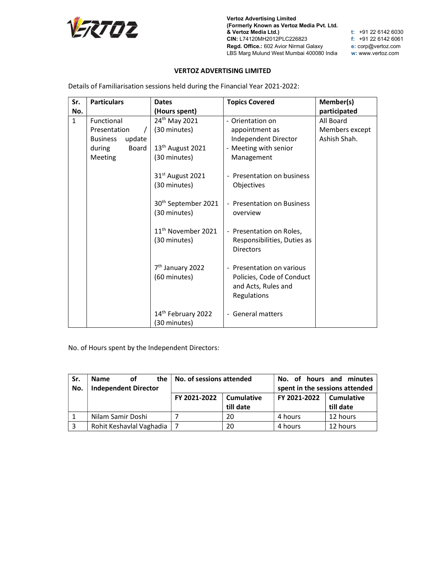

Vertoz Advertising Limited (Formerly Known as Vertoz Media Pvt. Ltd. & Vertoz Media Ltd.) t: +91 22 6142 6030 CIN: L74120MH2012PLC226823 f: +91 22 6142 6061 Regd. Office.: 602 Avior Nirmal Galaxy e: corp@vertoz.com Regd. Office.: 602 Avior Nirmal Galaxy e: corp@vertoz.com<br>LBS Marg Mulund West Mumbai 400080 India w: www.vertoz.com

### VERTOZ ADVERTISING LIMITED

Details of Familiarisation sessions held during the Financial Year 2021-2022:

| Sr.          | <b>Particulars</b>        | <b>Dates</b>                    | <b>Topics Covered</b>       | Member(s)      |
|--------------|---------------------------|---------------------------------|-----------------------------|----------------|
| No.          |                           | (Hours spent)                   |                             | participated   |
| $\mathbf{1}$ | Functional                | 24 <sup>th</sup> May 2021       | - Orientation on            | All Board      |
|              | Presentation              | (30 minutes)                    | appointment as              | Members except |
|              | update<br><b>Business</b> |                                 | Independent Director        | Ashish Shah.   |
|              | during<br><b>Board</b>    | $13th$ August 2021              | - Meeting with senior       |                |
|              | <b>Meeting</b>            | (30 minutes)                    | Management                  |                |
|              |                           |                                 |                             |                |
|              |                           | 31 <sup>st</sup> August 2021    | - Presentation on business  |                |
|              |                           | (30 minutes)                    | Objectives                  |                |
|              |                           |                                 |                             |                |
|              |                           | 30 <sup>th</sup> September 2021 | - Presentation on Business  |                |
|              |                           | (30 minutes)                    | overview                    |                |
|              |                           | 11 <sup>th</sup> November 2021  | - Presentation on Roles,    |                |
|              |                           | (30 minutes)                    | Responsibilities, Duties as |                |
|              |                           |                                 | <b>Directors</b>            |                |
|              |                           |                                 |                             |                |
|              |                           | 7 <sup>th</sup> January 2022    | - Presentation on various   |                |
|              |                           | (60 minutes)                    | Policies, Code of Conduct   |                |
|              |                           |                                 | and Acts, Rules and         |                |
|              |                           |                                 | Regulations                 |                |
|              |                           |                                 |                             |                |
|              |                           | 14th February 2022              | - General matters           |                |
|              |                           | (30 minutes)                    |                             |                |

| Sr. | οf<br><b>Name</b>           | the $\vert$ No. of sessions attended |                   |                                | No. of hours and minutes |
|-----|-----------------------------|--------------------------------------|-------------------|--------------------------------|--------------------------|
| No. | <b>Independent Director</b> |                                      |                   | spent in the sessions attended |                          |
|     |                             | FY 2021-2022                         | <b>Cumulative</b> | FY 2021-2022                   | Cumulative               |
|     |                             |                                      | till date         |                                | till date                |
|     | Nilam Samir Doshi           |                                      | 20                | 4 hours                        | 12 hours                 |
|     | Rohit Keshavlal Vaghadia    |                                      | 20                | 4 hours                        | 12 hours                 |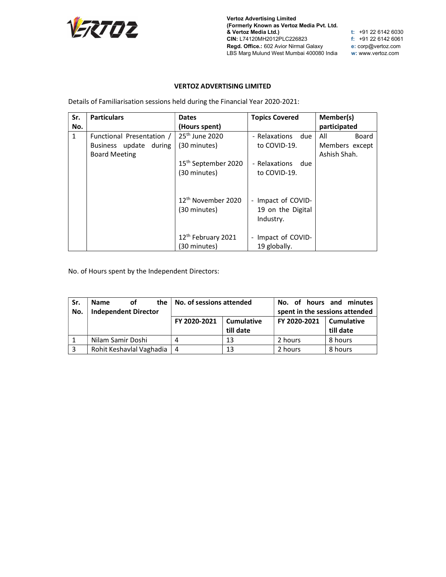

# VERTOZ ADVERTISING LIMITED

Details of Familiarisation sessions held during the Financial Year 2020-2021:

| Sr.<br>No. | <b>Particulars</b>        | <b>Dates</b><br>(Hours spent)   | <b>Topics Covered</b>      | Member(s)<br>participated |
|------------|---------------------------|---------------------------------|----------------------------|---------------------------|
| 1          | Functional Presentation / | 25 <sup>th</sup> June 2020      | - Relaxations due          | All<br>Board              |
|            | Business update during    | (30 minutes)                    | to COVID-19.               | Members except            |
|            | <b>Board Meeting</b>      |                                 |                            | Ashish Shah.              |
|            |                           | 15 <sup>th</sup> September 2020 | - Relaxations<br>due       |                           |
|            |                           | (30 minutes)                    | to COVID-19.               |                           |
|            |                           |                                 |                            |                           |
|            |                           | 12 <sup>th</sup> November 2020  | Impact of COVID-<br>$\sim$ |                           |
|            |                           | (30 minutes)                    | 19 on the Digital          |                           |
|            |                           |                                 | Industry.                  |                           |
|            |                           |                                 |                            |                           |
|            |                           | 12th February 2021              | - Impact of COVID-         |                           |
|            |                           | (30 minutes)                    | 19 globally.               |                           |

| Sr. | <b>Name</b><br>οf           | the $\vert$ No. of sessions attended |                   |                                | No. of hours and minutes |
|-----|-----------------------------|--------------------------------------|-------------------|--------------------------------|--------------------------|
| No. | <b>Independent Director</b> |                                      |                   | spent in the sessions attended |                          |
|     |                             | FY 2020-2021                         | <b>Cumulative</b> | FY 2020-2021                   | <b>Cumulative</b>        |
|     |                             |                                      | till date         |                                | till date                |
|     | Nilam Samir Doshi           | 4                                    | 13                | 2 hours                        | 8 hours                  |
|     | Rohit Keshavlal Vaghadia    | l 4                                  | 13                | 2 hours                        | 8 hours                  |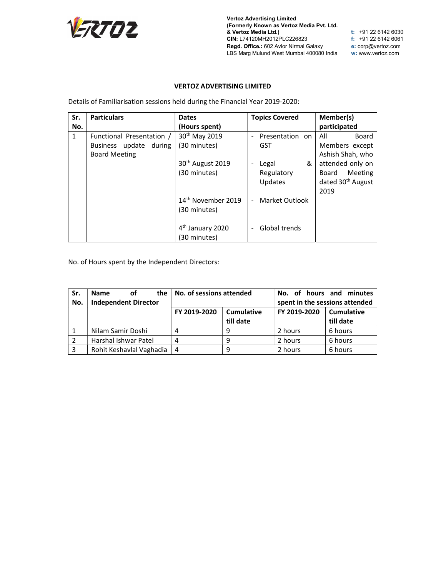

# VERTOZ ADVERTISING LIMITED

Details of Familiarisation sessions held during the Financial Year 2019-2020:

| Sr.<br>No. | <b>Particulars</b>        | <b>Dates</b><br>(Hours spent)  | <b>Topics Covered</b>             | Member(s)<br>participated     |
|------------|---------------------------|--------------------------------|-----------------------------------|-------------------------------|
| 1          | Functional Presentation / | 30 <sup>th</sup> May 2019      | Presentation on<br>$\blacksquare$ | All<br>Board                  |
|            | Business update<br>during | (30 minutes)                   | <b>GST</b>                        | Members except                |
|            | <b>Board Meeting</b>      |                                |                                   | Ashish Shah, who              |
|            |                           | 30 <sup>th</sup> August 2019   | &<br>Legal<br>$\overline{a}$      | attended only on              |
|            |                           | (30 minutes)                   | Regulatory                        | Meeting<br>Board              |
|            |                           |                                | Updates                           | dated 30 <sup>th</sup> August |
|            |                           |                                |                                   | 2019                          |
|            |                           | 14 <sup>th</sup> November 2019 | Market Outlook<br>$\overline{a}$  |                               |
|            |                           | (30 minutes)                   |                                   |                               |
|            |                           |                                |                                   |                               |
|            |                           | 4 <sup>th</sup> January 2020   | Global trends<br>$\blacksquare$   |                               |
|            |                           | (30 minutes)                   |                                   |                               |

| Sr.<br>No. | the<br><b>Name</b><br>οf<br><b>Independent Director</b> | No. of sessions attended |                   | No. of hours and minutes<br>spent in the sessions attended |                   |
|------------|---------------------------------------------------------|--------------------------|-------------------|------------------------------------------------------------|-------------------|
|            |                                                         | FY 2019-2020             | <b>Cumulative</b> | FY 2019-2020                                               | <b>Cumulative</b> |
|            |                                                         |                          | till date         |                                                            | till date         |
|            | Nilam Samir Doshi                                       | 4                        | 9                 | 2 hours                                                    | 6 hours           |
|            | Harshal Ishwar Patel                                    | 4                        | 9                 | 2 hours                                                    | 6 hours           |
| 3          | Rohit Keshavlal Vaghadia                                | -4                       | 9                 | 2 hours                                                    | 6 hours           |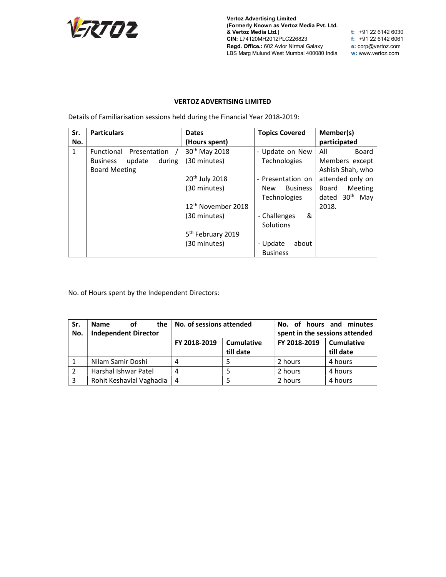

## VERTOZ ADVERTISING LIMITED

Details of Familiarisation sessions held during the Financial Year 2018-2019:

| Sr. | <b>Particulars</b>                  | <b>Dates</b>                   | <b>Topics Covered</b>  | Member(s)                     |
|-----|-------------------------------------|--------------------------------|------------------------|-------------------------------|
| No. |                                     | (Hours spent)                  |                        | participated                  |
| 1   | Presentation<br>Functional          | 30 <sup>th</sup> May 2018      | - Update on New        | All<br>Board                  |
|     | during<br><b>Business</b><br>update | (30 minutes)                   | <b>Technologies</b>    | Members except                |
|     | <b>Board Meeting</b>                |                                |                        | Ashish Shah, who              |
|     |                                     | 20 <sup>th</sup> July 2018     | - Presentation on      | attended only on              |
|     |                                     | (30 minutes)                   | <b>Business</b><br>New | Meeting<br>Board              |
|     |                                     |                                | <b>Technologies</b>    | 30 <sup>th</sup> May<br>dated |
|     |                                     | 12 <sup>th</sup> November 2018 |                        | 2018.                         |
|     |                                     | (30 minutes)                   | - Challenges<br>&      |                               |
|     |                                     |                                | Solutions              |                               |
|     |                                     | 5 <sup>th</sup> February 2019  |                        |                               |
|     |                                     | (30 minutes)                   | about<br>- Update      |                               |
|     |                                     |                                | <b>Business</b>        |                               |

| Sr. | <b>Name</b><br>οf           | the $\vert$ No. of sessions attended |                   |                                | No. of hours and minutes |
|-----|-----------------------------|--------------------------------------|-------------------|--------------------------------|--------------------------|
| No. | <b>Independent Director</b> |                                      |                   | spent in the sessions attended |                          |
|     |                             | FY 2018-2019                         | <b>Cumulative</b> | FY 2018-2019                   | <b>Cumulative</b>        |
|     |                             |                                      | till date         |                                | till date                |
|     | Nilam Samir Doshi           | 4                                    |                   | 2 hours                        | 4 hours                  |
|     | Harshal Ishwar Patel        | 4                                    |                   | 2 hours                        | 4 hours                  |
| 3   | Rohit Keshavlal Vaghadia    | $\vert 4$                            |                   | 2 hours                        | 4 hours                  |